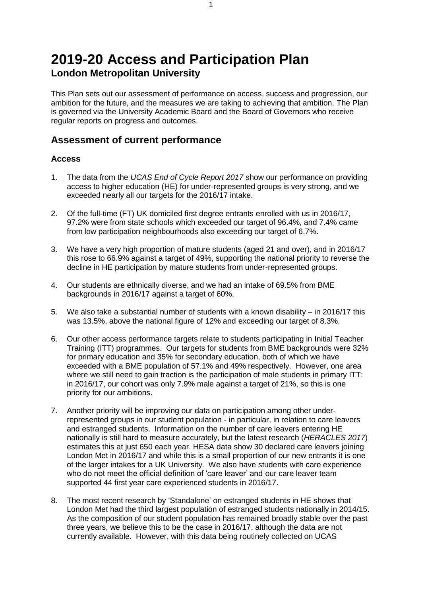# **2019-20 Access and Participation Plan London Metropolitan University**

This Plan sets out our assessment of performance on access, success and progression, our ambition for the future, and the measures we are taking to achieving that ambition. The Plan is governed via the University Academic Board and the Board of Governors who receive regular reports on progress and outcomes.

### **Assessment of current performance**

#### **Access**

- 1. The data from the *UCAS End of Cycle Report 2017* show our performance on providing access to higher education (HE) for under-represented groups is very strong, and we exceeded nearly all our targets for the 2016/17 intake.
- 2. Of the full-time (FT) UK domiciled first degree entrants enrolled with us in 2016/17, 97.2% were from state schools which exceeded our target of 96.4%, and 7.4% came from low participation neighbourhoods also exceeding our target of 6.7%.
- 3. We have a very high proportion of mature students (aged 21 and over), and in 2016/17 this rose to 66.9% against a target of 49%, supporting the national priority to reverse the decline in HE participation by mature students from under-represented groups.
- 4. Our students are ethnically diverse, and we had an intake of 69.5% from BME backgrounds in 2016/17 against a target of 60%.
- 5. We also take a substantial number of students with a known disability in 2016/17 this was 13.5%, above the national figure of 12% and exceeding our target of 8.3%.
- 6. Our other access performance targets relate to students participating in Initial Teacher Training (ITT) programmes. Our targets for students from BME backgrounds were 32% for primary education and 35% for secondary education, both of which we have exceeded with a BME population of 57.1% and 49% respectively. However, one area where we still need to gain traction is the participation of male students in primary ITT: in 2016/17, our cohort was only 7.9% male against a target of 21%, so this is one priority for our ambitions.
- 7. Another priority will be improving our data on participation among other underrepresented groups in our student population - in particular, in relation to care leavers and estranged students. Information on the number of care leavers entering HE nationally is still hard to measure accurately, but the latest research (*HERACLES 2017*) estimates this at just 650 each year. HESA data show 30 declared care leavers joining London Met in 2016/17 and while this is a small proportion of our new entrants it is one of the larger intakes for a UK University. We also have students with care experience who do not meet the official definition of 'care leaver' and our care leaver team supported 44 first year care experienced students in 2016/17.
- 8. The most recent research by 'Standalone' on estranged students in HE shows that London Met had the third largest population of estranged students nationally in 2014/15. As the composition of our student population has remained broadly stable over the past three years, we believe this to be the case in 2016/17, although the data are not currently available. However, with this data being routinely collected on UCAS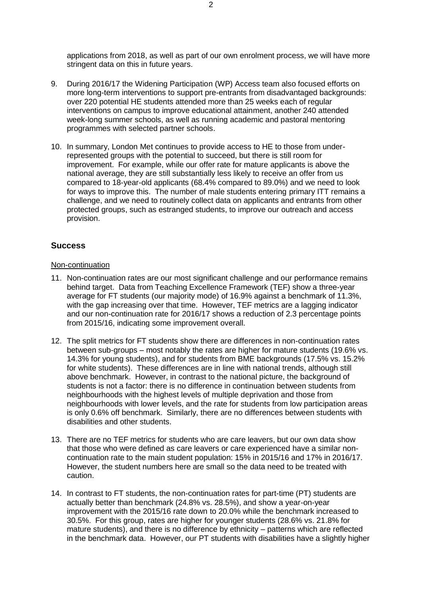applications from 2018, as well as part of our own enrolment process, we will have more stringent data on this in future years.

- 9. During 2016/17 the Widening Participation (WP) Access team also focused efforts on more long-term interventions to support pre-entrants from disadvantaged backgrounds: over 220 potential HE students attended more than 25 weeks each of regular interventions on campus to improve educational attainment, another 240 attended week-long summer schools, as well as running academic and pastoral mentoring programmes with selected partner schools.
- 10. In summary, London Met continues to provide access to HE to those from underrepresented groups with the potential to succeed, but there is still room for improvement. For example, while our offer rate for mature applicants is above the national average, they are still substantially less likely to receive an offer from us compared to 18-year-old applicants (68.4% compared to 89.0%) and we need to look for ways to improve this. The number of male students entering primary ITT remains a challenge, and we need to routinely collect data on applicants and entrants from other protected groups, such as estranged students, to improve our outreach and access provision.

#### **Success**

#### Non-continuation

- 11. Non-continuation rates are our most significant challenge and our performance remains behind target. Data from Teaching Excellence Framework (TEF) show a three-year average for FT students (our majority mode) of 16.9% against a benchmark of 11.3%, with the gap increasing over that time. However, TEF metrics are a lagging indicator and our non-continuation rate for 2016/17 shows a reduction of 2.3 percentage points from 2015/16, indicating some improvement overall.
- 12. The split metrics for FT students show there are differences in non-continuation rates between sub-groups – most notably the rates are higher for mature students (19.6% vs. 14.3% for young students), and for students from BME backgrounds (17.5% vs. 15.2% for white students). These differences are in line with national trends, although still above benchmark. However, in contrast to the national picture, the background of students is not a factor: there is no difference in continuation between students from neighbourhoods with the highest levels of multiple deprivation and those from neighbourhoods with lower levels, and the rate for students from low participation areas is only 0.6% off benchmark. Similarly, there are no differences between students with disabilities and other students.
- 13. There are no TEF metrics for students who are care leavers, but our own data show that those who were defined as care leavers or care experienced have a similar noncontinuation rate to the main student population: 15% in 2015/16 and 17% in 2016/17. However, the student numbers here are small so the data need to be treated with caution.
- 14. In contrast to FT students, the non-continuation rates for part-time (PT) students are actually better than benchmark (24.8% vs. 28.5%), and show a year-on-year improvement with the 2015/16 rate down to 20.0% while the benchmark increased to 30.5%. For this group, rates are higher for younger students (28.6% vs. 21.8% for mature students), and there is no difference by ethnicity – patterns which are reflected in the benchmark data. However, our PT students with disabilities have a slightly higher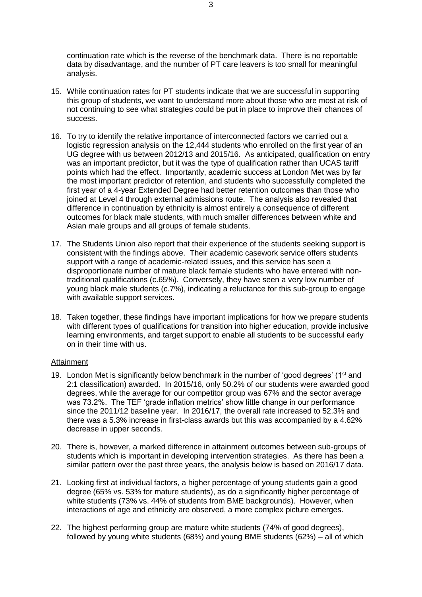continuation rate which is the reverse of the benchmark data. There is no reportable data by disadvantage, and the number of PT care leavers is too small for meaningful analysis.

- 15. While continuation rates for PT students indicate that we are successful in supporting this group of students, we want to understand more about those who are most at risk of not continuing to see what strategies could be put in place to improve their chances of success.
- 16. To try to identify the relative importance of interconnected factors we carried out a logistic regression analysis on the 12,444 students who enrolled on the first year of an UG degree with us between 2012/13 and 2015/16. As anticipated, qualification on entry was an important predictor, but it was the type of qualification rather than UCAS tariff points which had the effect. Importantly, academic success at London Met was by far the most important predictor of retention, and students who successfully completed the first year of a 4-year Extended Degree had better retention outcomes than those who joined at Level 4 through external admissions route. The analysis also revealed that difference in continuation by ethnicity is almost entirely a consequence of different outcomes for black male students, with much smaller differences between white and Asian male groups and all groups of female students.
- 17. The Students Union also report that their experience of the students seeking support is consistent with the findings above. Their academic casework service offers students support with a range of academic-related issues, and this service has seen a disproportionate number of mature black female students who have entered with nontraditional qualifications (c.65%). Conversely, they have seen a very low number of young black male students (c.7%), indicating a reluctance for this sub-group to engage with available support services.
- 18. Taken together, these findings have important implications for how we prepare students with different types of qualifications for transition into higher education, provide inclusive learning environments, and target support to enable all students to be successful early on in their time with us.

#### Attainment

- 19. London Met is significantly below benchmark in the number of 'good degrees' (1<sup>st</sup> and 2:1 classification) awarded. In 2015/16, only 50.2% of our students were awarded good degrees, while the average for our competitor group was 67% and the sector average was 73.2%. The TEF 'grade inflation metrics' show little change in our performance since the 2011/12 baseline year. In 2016/17, the overall rate increased to 52.3% and there was a 5.3% increase in first-class awards but this was accompanied by a 4.62% decrease in upper seconds.
- 20. There is, however, a marked difference in attainment outcomes between sub-groups of students which is important in developing intervention strategies. As there has been a similar pattern over the past three years, the analysis below is based on 2016/17 data.
- 21. Looking first at individual factors, a higher percentage of young students gain a good degree (65% vs. 53% for mature students), as do a significantly higher percentage of white students (73% vs. 44% of students from BME backgrounds). However, when interactions of age and ethnicity are observed, a more complex picture emerges.
- 22. The highest performing group are mature white students (74% of good degrees), followed by young white students (68%) and young BME students (62%) – all of which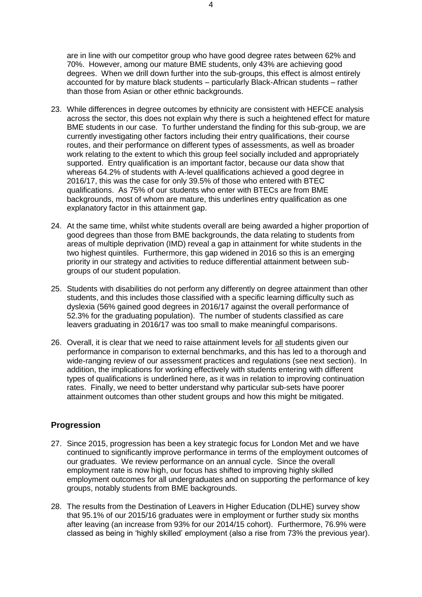are in line with our competitor group who have good degree rates between 62% and 70%. However, among our mature BME students, only 43% are achieving good degrees. When we drill down further into the sub-groups, this effect is almost entirely accounted for by mature black students – particularly Black-African students – rather than those from Asian or other ethnic backgrounds.

- 23. While differences in degree outcomes by ethnicity are consistent with HEFCE analysis across the sector, this does not explain why there is such a heightened effect for mature BME students in our case. To further understand the finding for this sub-group, we are currently investigating other factors including their entry qualifications, their course routes, and their performance on different types of assessments, as well as broader work relating to the extent to which this group feel socially included and appropriately supported. Entry qualification is an important factor, because our data show that whereas 64.2% of students with A-level qualifications achieved a good degree in 2016/17, this was the case for only 39.5% of those who entered with BTEC qualifications. As 75% of our students who enter with BTECs are from BME backgrounds, most of whom are mature, this underlines entry qualification as one explanatory factor in this attainment gap.
- 24. At the same time, whilst white students overall are being awarded a higher proportion of good degrees than those from BME backgrounds, the data relating to students from areas of multiple deprivation (IMD) reveal a gap in attainment for white students in the two highest quintiles. Furthermore, this gap widened in 2016 so this is an emerging priority in our strategy and activities to reduce differential attainment between subgroups of our student population.
- 25. Students with disabilities do not perform any differently on degree attainment than other students, and this includes those classified with a specific learning difficulty such as dyslexia (56% gained good degrees in 2016/17 against the overall performance of 52.3% for the graduating population). The number of students classified as care leavers graduating in 2016/17 was too small to make meaningful comparisons.
- 26. Overall, it is clear that we need to raise attainment levels for all students given our performance in comparison to external benchmarks, and this has led to a thorough and wide-ranging review of our assessment practices and regulations (see next section). In addition, the implications for working effectively with students entering with different types of qualifications is underlined here, as it was in relation to improving continuation rates. Finally, we need to better understand why particular sub-sets have poorer attainment outcomes than other student groups and how this might be mitigated.

#### **Progression**

- 27. Since 2015, progression has been a key strategic focus for London Met and we have continued to significantly improve performance in terms of the employment outcomes of our graduates. We review performance on an annual cycle. Since the overall employment rate is now high, our focus has shifted to improving highly skilled employment outcomes for all undergraduates and on supporting the performance of key groups, notably students from BME backgrounds.
- 28. The results from the Destination of Leavers in Higher Education (DLHE) survey show that 95.1% of our 2015/16 graduates were in employment or further study six months after leaving (an increase from 93% for our 2014/15 cohort). Furthermore, 76.9% were classed as being in 'highly skilled' employment (also a rise from 73% the previous year).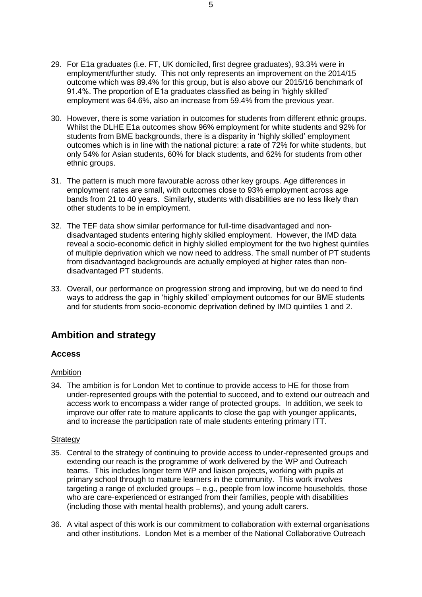- 29. For E1a graduates (i.e. FT, UK domiciled, first degree graduates), 93.3% were in employment/further study. This not only represents an improvement on the 2014/15 outcome which was 89.4% for this group, but is also above our 2015/16 benchmark of 91.4%. The proportion of E1a graduates classified as being in 'highly skilled' employment was 64.6%, also an increase from 59.4% from the previous year.
- 30. However, there is some variation in outcomes for students from different ethnic groups. Whilst the DLHE E1a outcomes show 96% employment for white students and 92% for students from BME backgrounds, there is a disparity in 'highly skilled' employment outcomes which is in line with the national picture: a rate of 72% for white students, but only 54% for Asian students, 60% for black students, and 62% for students from other ethnic groups.
- 31. The pattern is much more favourable across other key groups. Age differences in employment rates are small, with outcomes close to 93% employment across age bands from 21 to 40 years. Similarly, students with disabilities are no less likely than other students to be in employment.
- 32. The TEF data show similar performance for full-time disadvantaged and nondisadvantaged students entering highly skilled employment. However, the IMD data reveal a socio-economic deficit in highly skilled employment for the two highest quintiles of multiple deprivation which we now need to address. The small number of PT students from disadvantaged backgrounds are actually employed at higher rates than nondisadvantaged PT students.
- 33. Overall, our performance on progression strong and improving, but we do need to find ways to address the gap in 'highly skilled' employment outcomes for our BME students and for students from socio-economic deprivation defined by IMD quintiles 1 and 2.

## **Ambition and strategy**

#### **Access**

#### Ambition

34. The ambition is for London Met to continue to provide access to HE for those from under-represented groups with the potential to succeed, and to extend our outreach and access work to encompass a wider range of protected groups. In addition, we seek to improve our offer rate to mature applicants to close the gap with younger applicants, and to increase the participation rate of male students entering primary ITT.

#### **Strategy**

- 35. Central to the strategy of continuing to provide access to under-represented groups and extending our reach is the programme of work delivered by the WP and Outreach teams. This includes longer term WP and liaison projects, working with pupils at primary school through to mature learners in the community. This work involves targeting a range of excluded groups – e.g., people from low income households, those who are care-experienced or estranged from their families, people with disabilities (including those with mental health problems), and young adult carers.
- 36. A vital aspect of this work is our commitment to collaboration with external organisations and other institutions. London Met is a member of the National Collaborative Outreach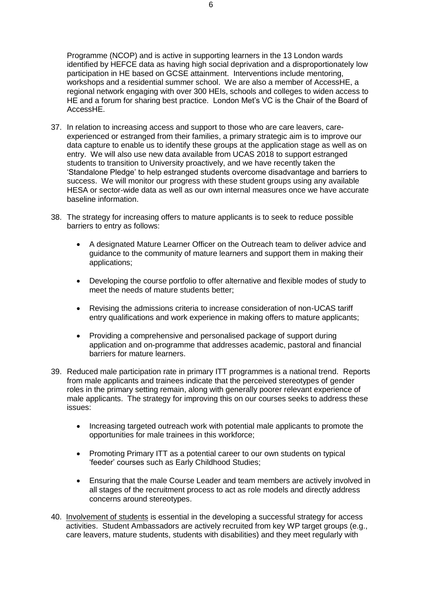Programme (NCOP) and is active in supporting learners in the 13 London wards identified by HEFCE data as having high social deprivation and a disproportionately low participation in HE based on GCSE attainment. Interventions include mentoring, workshops and a residential summer school. We are also a member of AccessHE, a regional network engaging with over 300 HEIs, schools and colleges to widen access to HE and a forum for sharing best practice. London Met's VC is the Chair of the Board of AccessHE.

- 37. In relation to increasing access and support to those who are care leavers, careexperienced or estranged from their families, a primary strategic aim is to improve our data capture to enable us to identify these groups at the application stage as well as on entry. We will also use new data available from UCAS 2018 to support estranged students to transition to University proactively, and we have recently taken the 'Standalone Pledge' to help estranged students overcome disadvantage and barriers to success. We will monitor our progress with these student groups using any available HESA or sector-wide data as well as our own internal measures once we have accurate baseline information.
- 38. The strategy for increasing offers to mature applicants is to seek to reduce possible barriers to entry as follows:
	- A designated Mature Learner Officer on the Outreach team to deliver advice and guidance to the community of mature learners and support them in making their applications;
	- Developing the course portfolio to offer alternative and flexible modes of study to meet the needs of mature students better;
	- Revising the admissions criteria to increase consideration of non-UCAS tariff entry qualifications and work experience in making offers to mature applicants;
	- Providing a comprehensive and personalised package of support during application and on-programme that addresses academic, pastoral and financial barriers for mature learners.
- 39. Reduced male participation rate in primary ITT programmes is a national trend. Reports from male applicants and trainees indicate that the perceived stereotypes of gender roles in the primary setting remain, along with generally poorer relevant experience of male applicants. The strategy for improving this on our courses seeks to address these issues:
	- Increasing targeted outreach work with potential male applicants to promote the opportunities for male trainees in this workforce;
	- Promoting Primary ITT as a potential career to our own students on typical 'feeder' courses such as Early Childhood Studies;
	- Ensuring that the male Course Leader and team members are actively involved in all stages of the recruitment process to act as role models and directly address concerns around stereotypes.
- 40. Involvement of students is essential in the developing a successful strategy for access activities. Student Ambassadors are actively recruited from key WP target groups (e.g., care leavers, mature students, students with disabilities) and they meet regularly with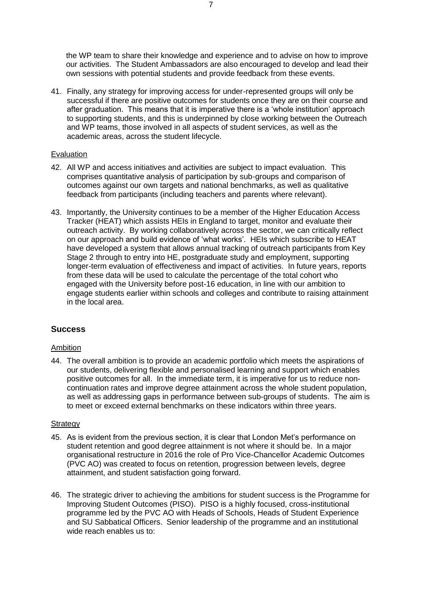the WP team to share their knowledge and experience and to advise on how to improve our activities. The Student Ambassadors are also encouraged to develop and lead their own sessions with potential students and provide feedback from these events.

41. Finally, any strategy for improving access for under-represented groups will only be successful if there are positive outcomes for students once they are on their course and after graduation. This means that it is imperative there is a 'whole institution' approach to supporting students, and this is underpinned by close working between the Outreach and WP teams, those involved in all aspects of student services, as well as the academic areas, across the student lifecycle.

#### Evaluation

- 42. All WP and access initiatives and activities are subject to impact evaluation. This comprises quantitative analysis of participation by sub-groups and comparison of outcomes against our own targets and national benchmarks, as well as qualitative feedback from participants (including teachers and parents where relevant).
- 43. Importantly, the University continues to be a member of the Higher Education Access Tracker (HEAT) which assists HEIs in England to target, monitor and evaluate their outreach activity. By working collaboratively across the sector, we can critically reflect on our approach and build evidence of 'what works'. HEIs which subscribe to HEAT have developed a system that allows annual tracking of outreach participants from Key Stage 2 through to entry into HE, postgraduate study and employment, supporting longer-term evaluation of effectiveness and impact of activities. In future years, reports from these data will be used to calculate the percentage of the total cohort who engaged with the University before post-16 education, in line with our ambition to engage students earlier within schools and colleges and contribute to raising attainment in the local area.

### **Success**

#### Ambition

44. The overall ambition is to provide an academic portfolio which meets the aspirations of our students, delivering flexible and personalised learning and support which enables positive outcomes for all. In the immediate term, it is imperative for us to reduce noncontinuation rates and improve degree attainment across the whole student population, as well as addressing gaps in performance between sub-groups of students. The aim is to meet or exceed external benchmarks on these indicators within three years.

#### **Strategy**

- 45. As is evident from the previous section, it is clear that London Met's performance on student retention and good degree attainment is not where it should be. In a major organisational restructure in 2016 the role of Pro Vice-Chancellor Academic Outcomes (PVC AO) was created to focus on retention, progression between levels, degree attainment, and student satisfaction going forward.
- 46. The strategic driver to achieving the ambitions for student success is the Programme for Improving Student Outcomes (PISO). PISO is a highly focused, cross-institutional programme led by the PVC AO with Heads of Schools, Heads of Student Experience and SU Sabbatical Officers. Senior leadership of the programme and an institutional wide reach enables us to: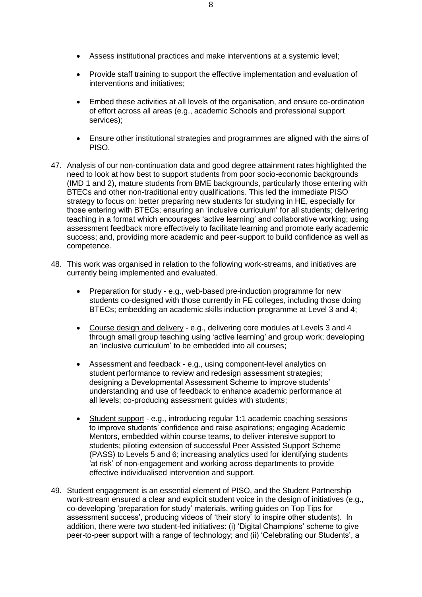- Assess institutional practices and make interventions at a systemic level;
- Provide staff training to support the effective implementation and evaluation of interventions and initiatives;
- Embed these activities at all levels of the organisation, and ensure co-ordination of effort across all areas (e.g., academic Schools and professional support services);
- Ensure other institutional strategies and programmes are aligned with the aims of PISO.
- 47. Analysis of our non-continuation data and good degree attainment rates highlighted the need to look at how best to support students from poor socio-economic backgrounds (IMD 1 and 2), mature students from BME backgrounds, particularly those entering with BTECs and other non-traditional entry qualifications. This led the immediate PISO strategy to focus on: better preparing new students for studying in HE, especially for those entering with BTECs; ensuring an 'inclusive curriculum' for all students; delivering teaching in a format which encourages 'active learning' and collaborative working; using assessment feedback more effectively to facilitate learning and promote early academic success; and, providing more academic and peer-support to build confidence as well as competence.
- 48. This work was organised in relation to the following work-streams, and initiatives are currently being implemented and evaluated.
	- Preparation for study e.g., web-based pre-induction programme for new students co-designed with those currently in FE colleges, including those doing BTECs; embedding an academic skills induction programme at Level 3 and 4;
	- Course design and delivery e.g., delivering core modules at Levels 3 and 4 through small group teaching using 'active learning' and group work; developing an 'inclusive curriculum' to be embedded into all courses;
	- Assessment and feedback e.g., using component-level analytics on student performance to review and redesign assessment strategies; designing a Developmental Assessment Scheme to improve students' understanding and use of feedback to enhance academic performance at all levels; co-producing assessment guides with students;
	- Student support e.g., introducing regular 1:1 academic coaching sessions to improve students' confidence and raise aspirations; engaging Academic Mentors, embedded within course teams, to deliver intensive support to students; piloting extension of successful Peer Assisted Support Scheme (PASS) to Levels 5 and 6; increasing analytics used for identifying students 'at risk' of non-engagement and working across departments to provide effective individualised intervention and support.
- 49. Student engagement is an essential element of PISO, and the Student Partnership work-stream ensured a clear and explicit student voice in the design of initiatives (e.g., co-developing 'preparation for study' materials, writing guides on Top Tips for assessment success', producing videos of 'their story' to inspire other students). In addition, there were two student-led initiatives: (i) 'Digital Champions' scheme to give peer-to-peer support with a range of technology; and (ii) 'Celebrating our Students', a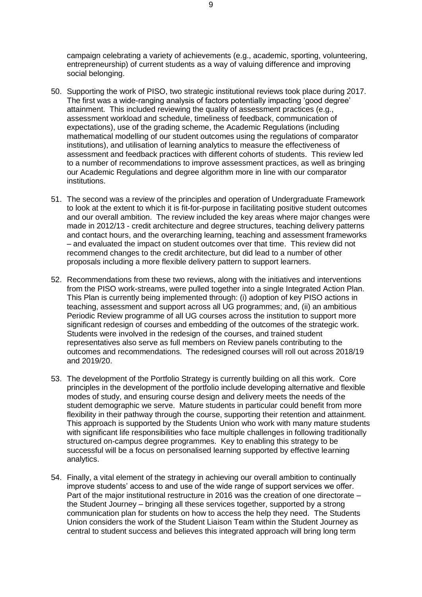campaign celebrating a variety of achievements (e.g., academic, sporting, volunteering, entrepreneurship) of current students as a way of valuing difference and improving social belonging.

- 50. Supporting the work of PISO, two strategic institutional reviews took place during 2017. The first was a wide-ranging analysis of factors potentially impacting 'good degree' attainment. This included reviewing the quality of assessment practices (e.g., assessment workload and schedule, timeliness of feedback, communication of expectations), use of the grading scheme, the Academic Regulations (including mathematical modelling of our student outcomes using the regulations of comparator institutions), and utilisation of learning analytics to measure the effectiveness of assessment and feedback practices with different cohorts of students. This review led to a number of recommendations to improve assessment practices, as well as bringing our Academic Regulations and degree algorithm more in line with our comparator institutions.
- 51. The second was a review of the principles and operation of Undergraduate Framework to look at the extent to which it is fit-for-purpose in facilitating positive student outcomes and our overall ambition. The review included the key areas where major changes were made in 2012/13 - credit architecture and degree structures, teaching delivery patterns and contact hours, and the overarching learning, teaching and assessment frameworks – and evaluated the impact on student outcomes over that time. This review did not recommend changes to the credit architecture, but did lead to a number of other proposals including a more flexible delivery pattern to support learners.
- 52. Recommendations from these two reviews, along with the initiatives and interventions from the PISO work-streams, were pulled together into a single Integrated Action Plan. This Plan is currently being implemented through: (i) adoption of key PISO actions in teaching, assessment and support across all UG programmes; and, (ii) an ambitious Periodic Review programme of all UG courses across the institution to support more significant redesign of courses and embedding of the outcomes of the strategic work. Students were involved in the redesign of the courses, and trained student representatives also serve as full members on Review panels contributing to the outcomes and recommendations. The redesigned courses will roll out across 2018/19 and 2019/20.
- 53. The development of the Portfolio Strategy is currently building on all this work. Core principles in the development of the portfolio include developing alternative and flexible modes of study, and ensuring course design and delivery meets the needs of the student demographic we serve. Mature students in particular could benefit from more flexibility in their pathway through the course, supporting their retention and attainment. This approach is supported by the Students Union who work with many mature students with significant life responsibilities who face multiple challenges in following traditionally structured on-campus degree programmes. Key to enabling this strategy to be successful will be a focus on personalised learning supported by effective learning analytics.
- 54. Finally, a vital element of the strategy in achieving our overall ambition to continually improve students' access to and use of the wide range of support services we offer. Part of the major institutional restructure in 2016 was the creation of one directorate – the Student Journey – bringing all these services together, supported by a strong communication plan for students on how to access the help they need. The Students Union considers the work of the Student Liaison Team within the Student Journey as central to student success and believes this integrated approach will bring long term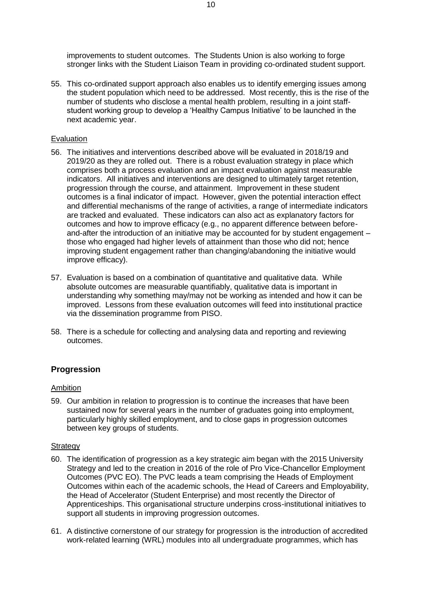improvements to student outcomes. The Students Union is also working to forge stronger links with the Student Liaison Team in providing co-ordinated student support.

55. This co-ordinated support approach also enables us to identify emerging issues among the student population which need to be addressed. Most recently, this is the rise of the number of students who disclose a mental health problem, resulting in a joint staffstudent working group to develop a 'Healthy Campus Initiative' to be launched in the next academic year.

#### **Evaluation**

- 56. The initiatives and interventions described above will be evaluated in 2018/19 and 2019/20 as they are rolled out. There is a robust evaluation strategy in place which comprises both a process evaluation and an impact evaluation against measurable indicators. All initiatives and interventions are designed to ultimately target retention, progression through the course, and attainment. Improvement in these student outcomes is a final indicator of impact. However, given the potential interaction effect and differential mechanisms of the range of activities, a range of intermediate indicators are tracked and evaluated. These indicators can also act as explanatory factors for outcomes and how to improve efficacy (e.g., no apparent difference between beforeand-after the introduction of an initiative may be accounted for by student engagement – those who engaged had higher levels of attainment than those who did not; hence improving student engagement rather than changing/abandoning the initiative would improve efficacy).
- 57. Evaluation is based on a combination of quantitative and qualitative data. While absolute outcomes are measurable quantifiably, qualitative data is important in understanding why something may/may not be working as intended and how it can be improved. Lessons from these evaluation outcomes will feed into institutional practice via the dissemination programme from PISO.
- 58. There is a schedule for collecting and analysing data and reporting and reviewing outcomes.

#### **Progression**

#### Ambition

59. Our ambition in relation to progression is to continue the increases that have been sustained now for several years in the number of graduates going into employment, particularly highly skilled employment, and to close gaps in progression outcomes between key groups of students.

#### **Strategy**

- 60. The identification of progression as a key strategic aim began with the 2015 University Strategy and led to the creation in 2016 of the role of Pro Vice-Chancellor Employment Outcomes (PVC EO). The PVC leads a team comprising the Heads of Employment Outcomes within each of the academic schools, the Head of Careers and Employability, the Head of Accelerator (Student Enterprise) and most recently the Director of Apprenticeships. This organisational structure underpins cross-institutional initiatives to support all students in improving progression outcomes.
- 61. A distinctive cornerstone of our strategy for progression is the introduction of accredited work-related learning (WRL) modules into all undergraduate programmes, which has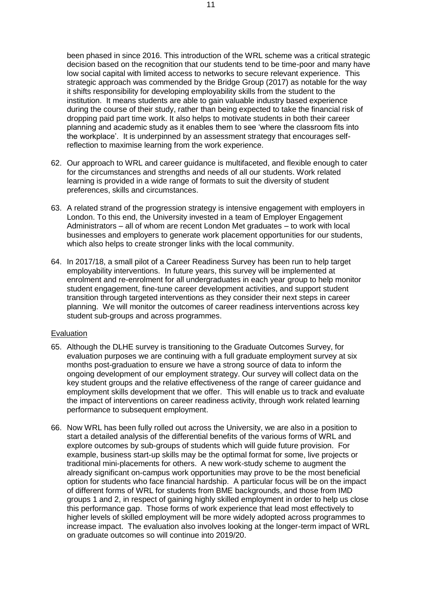been phased in since 2016. This introduction of the WRL scheme was a critical strategic decision based on the recognition that our students tend to be time-poor and many have low social capital with limited access to networks to secure relevant experience. This strategic approach was commended by the Bridge Group (2017) as notable for the way it shifts responsibility for developing employability skills from the student to the institution. It means students are able to gain valuable industry based experience during the course of their study, rather than being expected to take the financial risk of dropping paid part time work. It also helps to motivate students in both their career planning and academic study as it enables them to see 'where the classroom fits into the workplace'. It is underpinned by an assessment strategy that encourages selfreflection to maximise learning from the work experience.

- 62. Our approach to WRL and career guidance is multifaceted, and flexible enough to cater for the circumstances and strengths and needs of all our students. Work related learning is provided in a wide range of formats to suit the diversity of student preferences, skills and circumstances.
- 63. A related strand of the progression strategy is intensive engagement with employers in London. To this end, the University invested in a team of Employer Engagement Administrators – all of whom are recent London Met graduates – to work with local businesses and employers to generate work placement opportunities for our students, which also helps to create stronger links with the local community.
- 64. In 2017/18, a small pilot of a Career Readiness Survey has been run to help target employability interventions. In future years, this survey will be implemented at enrolment and re-enrolment for all undergraduates in each year group to help monitor student engagement, fine-tune career development activities, and support student transition through targeted interventions as they consider their next steps in career planning. We will monitor the outcomes of career readiness interventions across key student sub-groups and across programmes.

#### **Evaluation**

- 65. Although the DLHE survey is transitioning to the Graduate Outcomes Survey, for evaluation purposes we are continuing with a full graduate employment survey at six months post-graduation to ensure we have a strong source of data to inform the ongoing development of our employment strategy. Our survey will collect data on the key student groups and the relative effectiveness of the range of career guidance and employment skills development that we offer. This will enable us to track and evaluate the impact of interventions on career readiness activity, through work related learning performance to subsequent employment.
- 66. Now WRL has been fully rolled out across the University, we are also in a position to start a detailed analysis of the differential benefits of the various forms of WRL and explore outcomes by sub-groups of students which will guide future provision. For example, business start-up skills may be the optimal format for some, live projects or traditional mini-placements for others. A new work-study scheme to augment the already significant on-campus work opportunities may prove to be the most beneficial option for students who face financial hardship. A particular focus will be on the impact of different forms of WRL for students from BME backgrounds, and those from IMD groups 1 and 2, in respect of gaining highly skilled employment in order to help us close this performance gap. Those forms of work experience that lead most effectively to higher levels of skilled employment will be more widely adopted across programmes to increase impact. The evaluation also involves looking at the longer-term impact of WRL on graduate outcomes so will continue into 2019/20.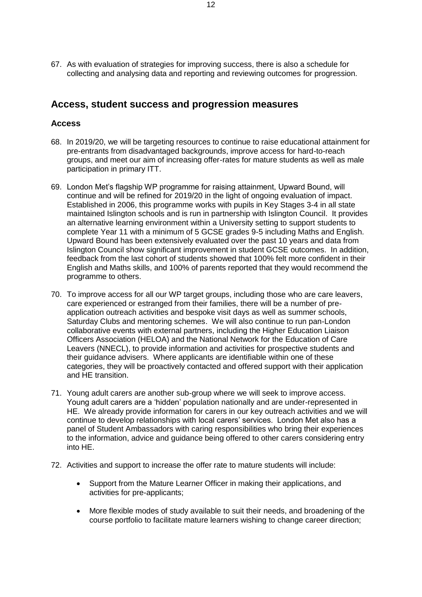67. As with evaluation of strategies for improving success, there is also a schedule for collecting and analysing data and reporting and reviewing outcomes for progression.

### **Access, student success and progression measures**

#### **Access**

- 68. In 2019/20, we will be targeting resources to continue to raise educational attainment for pre-entrants from disadvantaged backgrounds, improve access for hard-to-reach groups, and meet our aim of increasing offer-rates for mature students as well as male participation in primary ITT.
- 69. London Met's flagship WP programme for raising attainment, Upward Bound, will continue and will be refined for 2019/20 in the light of ongoing evaluation of impact. Established in 2006, this programme works with pupils in Key Stages 3-4 in all state maintained Islington schools and is run in partnership with Islington Council. It provides an alternative learning environment within a University setting to support students to complete Year 11 with a minimum of 5 GCSE grades 9-5 including Maths and English. Upward Bound has been extensively evaluated over the past 10 years and data from Islington Council show significant improvement in student GCSE outcomes. In addition, feedback from the last cohort of students showed that 100% felt more confident in their English and Maths skills, and 100% of parents reported that they would recommend the programme to others.
- 70. To improve access for all our WP target groups, including those who are care leavers, care experienced or estranged from their families, there will be a number of preapplication outreach activities and bespoke visit days as well as summer schools, Saturday Clubs and mentoring schemes. We will also continue to run pan-London collaborative events with external partners, including the Higher Education Liaison Officers Association (HELOA) and the National Network for the Education of Care Leavers (NNECL), to provide information and activities for prospective students and their guidance advisers. Where applicants are identifiable within one of these categories, they will be proactively contacted and offered support with their application and HE transition.
- 71. Young adult carers are another sub-group where we will seek to improve access. Young adult carers are a 'hidden' population nationally and are under-represented in HE. We already provide information for carers in our key outreach activities and we will continue to develop relationships with local carers' services. London Met also has a panel of Student Ambassadors with caring responsibilities who bring their experiences to the information, advice and guidance being offered to other carers considering entry into HE.
- 72. Activities and support to increase the offer rate to mature students will include:
	- Support from the Mature Learner Officer in making their applications, and activities for pre-applicants;
	- More flexible modes of study available to suit their needs, and broadening of the course portfolio to facilitate mature learners wishing to change career direction;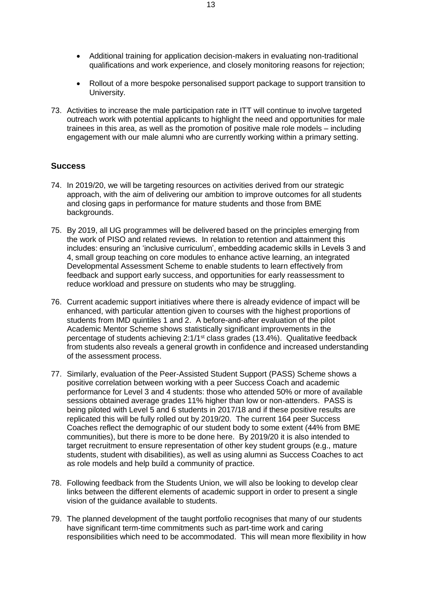- Additional training for application decision-makers in evaluating non-traditional qualifications and work experience, and closely monitoring reasons for rejection;
- Rollout of a more bespoke personalised support package to support transition to University.
- 73. Activities to increase the male participation rate in ITT will continue to involve targeted outreach work with potential applicants to highlight the need and opportunities for male trainees in this area, as well as the promotion of positive male role models – including engagement with our male alumni who are currently working within a primary setting.

#### **Success**

- 74. In 2019/20, we will be targeting resources on activities derived from our strategic approach, with the aim of delivering our ambition to improve outcomes for all students and closing gaps in performance for mature students and those from BME backgrounds.
- 75. By 2019, all UG programmes will be delivered based on the principles emerging from the work of PISO and related reviews. In relation to retention and attainment this includes: ensuring an 'inclusive curriculum', embedding academic skills in Levels 3 and 4, small group teaching on core modules to enhance active learning, an integrated Developmental Assessment Scheme to enable students to learn effectively from feedback and support early success, and opportunities for early reassessment to reduce workload and pressure on students who may be struggling.
- 76. Current academic support initiatives where there is already evidence of impact will be enhanced, with particular attention given to courses with the highest proportions of students from IMD quintiles 1 and 2. A before-and-after evaluation of the pilot Academic Mentor Scheme shows statistically significant improvements in the percentage of students achieving 2:1/1st class grades (13.4%). Qualitative feedback from students also reveals a general growth in confidence and increased understanding of the assessment process.
- 77. Similarly, evaluation of the Peer-Assisted Student Support (PASS) Scheme shows a positive correlation between working with a peer Success Coach and academic performance for Level 3 and 4 students: those who attended 50% or more of available sessions obtained average grades 11% higher than low or non-attenders. PASS is being piloted with Level 5 and 6 students in 2017/18 and if these positive results are replicated this will be fully rolled out by 2019/20. The current 164 peer Success Coaches reflect the demographic of our student body to some extent (44% from BME communities), but there is more to be done here. By 2019/20 it is also intended to target recruitment to ensure representation of other key student groups (e.g., mature students, student with disabilities), as well as using alumni as Success Coaches to act as role models and help build a community of practice.
- 78. Following feedback from the Students Union, we will also be looking to develop clear links between the different elements of academic support in order to present a single vision of the guidance available to students.
- 79. The planned development of the taught portfolio recognises that many of our students have significant term-time commitments such as part-time work and caring responsibilities which need to be accommodated. This will mean more flexibility in how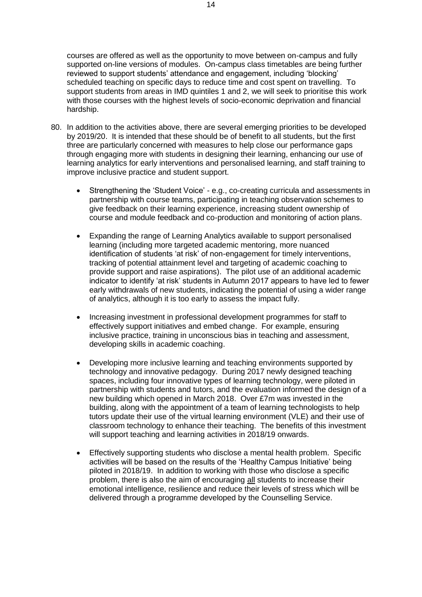courses are offered as well as the opportunity to move between on-campus and fully supported on-line versions of modules. On-campus class timetables are being further reviewed to support students' attendance and engagement, including 'blocking' scheduled teaching on specific days to reduce time and cost spent on travelling. To support students from areas in IMD quintiles 1 and 2, we will seek to prioritise this work with those courses with the highest levels of socio-economic deprivation and financial hardship.

- 80. In addition to the activities above, there are several emerging priorities to be developed by 2019/20. It is intended that these should be of benefit to all students, but the first three are particularly concerned with measures to help close our performance gaps through engaging more with students in designing their learning, enhancing our use of learning analytics for early interventions and personalised learning, and staff training to improve inclusive practice and student support.
	- Strengthening the 'Student Voice' e.g., co-creating curricula and assessments in partnership with course teams, participating in teaching observation schemes to give feedback on their learning experience, increasing student ownership of course and module feedback and co-production and monitoring of action plans.
	- Expanding the range of Learning Analytics available to support personalised learning (including more targeted academic mentoring, more nuanced identification of students 'at risk' of non-engagement for timely interventions, tracking of potential attainment level and targeting of academic coaching to provide support and raise aspirations). The pilot use of an additional academic indicator to identify 'at risk' students in Autumn 2017 appears to have led to fewer early withdrawals of new students, indicating the potential of using a wider range of analytics, although it is too early to assess the impact fully.
	- Increasing investment in professional development programmes for staff to effectively support initiatives and embed change. For example, ensuring inclusive practice, training in unconscious bias in teaching and assessment, developing skills in academic coaching.
	- Developing more inclusive learning and teaching environments supported by technology and innovative pedagogy. During 2017 newly designed teaching spaces, including four innovative types of learning technology, were piloted in partnership with students and tutors, and the evaluation informed the design of a new building which opened in March 2018. Over £7m was invested in the building, along with the appointment of a team of learning technologists to help tutors update their use of the virtual learning environment (VLE) and their use of classroom technology to enhance their teaching. The benefits of this investment will support teaching and learning activities in 2018/19 onwards.
	- Effectively supporting students who disclose a mental health problem. Specific activities will be based on the results of the 'Healthy Campus Initiative' being piloted in 2018/19. In addition to working with those who disclose a specific problem, there is also the aim of encouraging all students to increase their emotional intelligence, resilience and reduce their levels of stress which will be delivered through a programme developed by the Counselling Service.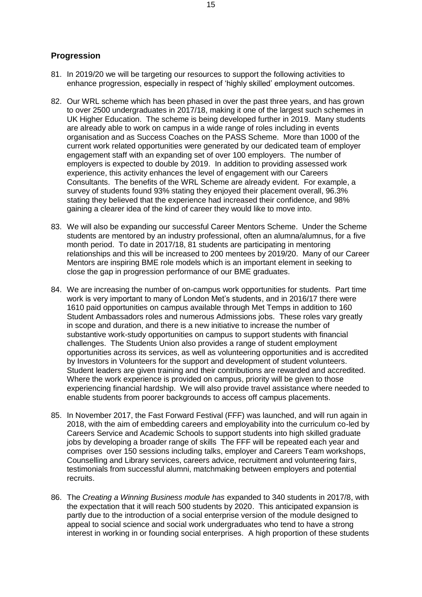#### **Progression**

- 81. In 2019/20 we will be targeting our resources to support the following activities to enhance progression, especially in respect of 'highly skilled' employment outcomes.
- 82. Our WRL scheme which has been phased in over the past three years, and has grown to over 2500 undergraduates in 2017/18, making it one of the largest such schemes in UK Higher Education. The scheme is being developed further in 2019. Many students are already able to work on campus in a wide range of roles including in events organisation and as Success Coaches on the PASS Scheme. More than 1000 of the current work related opportunities were generated by our dedicated team of employer engagement staff with an expanding set of over 100 employers. The number of employers is expected to double by 2019. In addition to providing assessed work experience, this activity enhances the level of engagement with our Careers Consultants. The benefits of the WRL Scheme are already evident. For example, a survey of students found 93% stating they enjoyed their placement overall, 96.3% stating they believed that the experience had increased their confidence, and 98% gaining a clearer idea of the kind of career they would like to move into.
- 83. We will also be expanding our successful Career Mentors Scheme. Under the Scheme students are mentored by an industry professional, often an alumna/alumnus, for a five month period. To date in 2017/18, 81 students are participating in mentoring relationships and this will be increased to 200 mentees by 2019/20. Many of our Career Mentors are inspiring BME role models which is an important element in seeking to close the gap in progression performance of our BME graduates.
- 84. We are increasing the number of on-campus work opportunities for students. Part time work is very important to many of London Met's students, and in 2016/17 there were 1610 paid opportunities on campus available through Met Temps in addition to 160 Student Ambassadors roles and numerous Admissions jobs. These roles vary greatly in scope and duration, and there is a new initiative to increase the number of substantive work-study opportunities on campus to support students with financial challenges. The Students Union also provides a range of student employment opportunities across its services, as well as volunteering opportunities and is accredited by Investors in Volunteers for the support and development of student volunteers. Student leaders are given training and their contributions are rewarded and accredited. Where the work experience is provided on campus, priority will be given to those experiencing financial hardship. We will also provide travel assistance where needed to enable students from poorer backgrounds to access off campus placements.
- 85. In November 2017, the Fast Forward Festival (FFF) was launched, and will run again in 2018, with the aim of embedding careers and employability into the curriculum co-led by Careers Service and Academic Schools to support students into high skilled graduate jobs by developing a broader range of skills The FFF will be repeated each year and comprises over 150 sessions including talks, employer and Careers Team workshops, Counselling and Library services, careers advice, recruitment and volunteering fairs, testimonials from successful alumni, matchmaking between employers and potential recruits.
- 86. The *Creating a Winning Business module has* expanded to 340 students in 2017/8, with the expectation that it will reach 500 students by 2020. This anticipated expansion is partly due to the introduction of a social enterprise version of the module designed to appeal to social science and social work undergraduates who tend to have a strong interest in working in or founding social enterprises. A high proportion of these students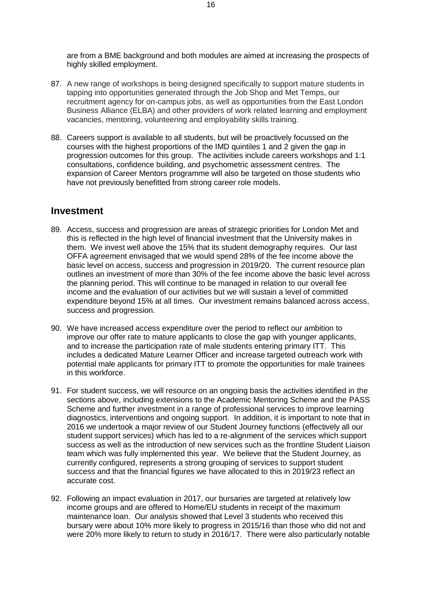are from a BME background and both modules are aimed at increasing the prospects of highly skilled employment.

- 87. A new range of workshops is being designed specifically to support mature students in tapping into opportunities generated through the Job Shop and Met Temps, our recruitment agency for on-campus jobs, as well as opportunities from the East London Business Alliance (ELBA) and other providers of work related learning and employment vacancies, mentoring, volunteering and employability skills training.
- 88. Careers support is available to all students, but will be proactively focussed on the courses with the highest proportions of the IMD quintiles 1 and 2 given the gap in progression outcomes for this group. The activities include careers workshops and 1:1 consultations, confidence building, and psychometric assessment centres. The expansion of Career Mentors programme will also be targeted on those students who have not previously benefitted from strong career role models.

### **Investment**

- 89. Access, success and progression are areas of strategic priorities for London Met and this is reflected in the high level of financial investment that the University makes in them. We invest well above the 15% that its student demography requires. Our last OFFA agreement envisaged that we would spend 28% of the fee income above the basic level on access, success and progression in 2019/20. The current resource plan outlines an investment of more than 30% of the fee income above the basic level across the planning period. This will continue to be managed in relation to our overall fee income and the evaluation of our activities but we will sustain a level of committed expenditure beyond 15% at all times. Our investment remains balanced across access, success and progression.
- 90. We have increased access expenditure over the period to reflect our ambition to improve our offer rate to mature applicants to close the gap with younger applicants, and to increase the participation rate of male students entering primary ITT. This includes a dedicated Mature Learner Officer and increase targeted outreach work with potential male applicants for primary ITT to promote the opportunities for male trainees in this workforce.
- 91. For student success, we will resource on an ongoing basis the activities identified in the sections above, including extensions to the Academic Mentoring Scheme and the PASS Scheme and further investment in a range of professional services to improve learning diagnostics, interventions and ongoing support. In addition, it is important to note that in 2016 we undertook a major review of our Student Journey functions (effectively all our student support services) which has led to a re-alignment of the services which support success as well as the introduction of new services such as the frontline Student Liaison team which was fully implemented this year. We believe that the Student Journey, as currently configured, represents a strong grouping of services to support student success and that the financial figures we have allocated to this in 2019/23 reflect an accurate cost.
- 92. Following an impact evaluation in 2017, our bursaries are targeted at relatively low income groups and are offered to Home/EU students in receipt of the maximum maintenance loan. Our analysis showed that Level 3 students who received this bursary were about 10% more likely to progress in 2015/16 than those who did not and were 20% more likely to return to study in 2016/17. There were also particularly notable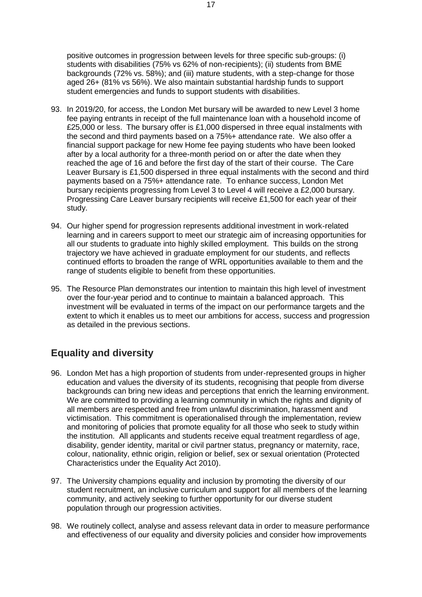positive outcomes in progression between levels for three specific sub-groups: (i) students with disabilities (75% vs 62% of non-recipients); (ii) students from BME backgrounds (72% vs. 58%); and (iii) mature students, with a step-change for those aged 26+ (81% vs 56%). We also maintain substantial hardship funds to support student emergencies and funds to support students with disabilities.

- 93. In 2019/20, for access, the London Met bursary will be awarded to new Level 3 home fee paying entrants in receipt of the full maintenance loan with a household income of £25,000 or less. The bursary offer is £1,000 dispersed in three equal instalments with the second and third payments based on a 75%+ attendance rate. We also offer a financial support package for new Home fee paying students who have been looked after by a local authority for a three-month period on or after the date when they reached the age of 16 and before the first day of the start of their course. The Care Leaver Bursary is £1,500 dispersed in three equal instalments with the second and third payments based on a 75%+ attendance rate. To enhance success, London Met bursary recipients progressing from Level 3 to Level 4 will receive a £2,000 bursary. Progressing Care Leaver bursary recipients will receive £1,500 for each year of their study.
- 94. Our higher spend for progression represents additional investment in work-related learning and in careers support to meet our strategic aim of increasing opportunities for all our students to graduate into highly skilled employment. This builds on the strong trajectory we have achieved in graduate employment for our students, and reflects continued efforts to broaden the range of WRL opportunities available to them and the range of students eligible to benefit from these opportunities.
- 95. The Resource Plan demonstrates our intention to maintain this high level of investment over the four-year period and to continue to maintain a balanced approach. This investment will be evaluated in terms of the impact on our performance targets and the extent to which it enables us to meet our ambitions for access, success and progression as detailed in the previous sections.

### **Equality and diversity**

- 96. London Met has a high proportion of students from under-represented groups in higher education and values the diversity of its students, recognising that people from diverse backgrounds can bring new ideas and perceptions that enrich the learning environment. We are committed to providing a learning community in which the rights and dignity of all members are respected and free from unlawful discrimination, harassment and victimisation. This commitment is operationalised through the implementation, review and monitoring of policies that promote equality for all those who seek to study within the institution. All applicants and students receive equal treatment regardless of age, disability, gender identity, marital or civil partner status, pregnancy or maternity, race, colour, nationality, ethnic origin, religion or belief, sex or sexual orientation (Protected Characteristics under the Equality Act 2010).
- 97. The University champions equality and inclusion by promoting the diversity of our student recruitment, an inclusive curriculum and support for all members of the learning community, and actively seeking to further opportunity for our diverse student population through our progression activities.
- 98. We routinely collect, analyse and assess relevant data in order to measure performance and effectiveness of our equality and diversity policies and consider how improvements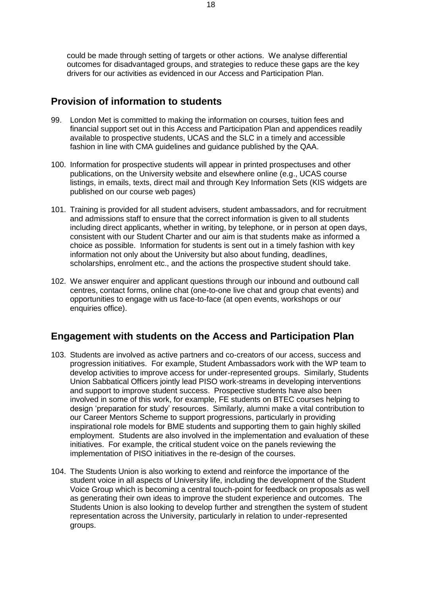could be made through setting of targets or other actions. We analyse differential outcomes for disadvantaged groups, and strategies to reduce these gaps are the key drivers for our activities as evidenced in our Access and Participation Plan.

### **Provision of information to students**

- 99. London Met is committed to making the information on courses, tuition fees and financial support set out in this Access and Participation Plan and appendices readily available to prospective students, UCAS and the SLC in a timely and accessible fashion in line with CMA guidelines and guidance published by the QAA.
- 100. Information for prospective students will appear in printed prospectuses and other publications, on the University website and elsewhere online (e.g., UCAS course listings, in emails, texts, direct mail and through Key Information Sets (KIS widgets are published on our course web pages)
- 101. Training is provided for all student advisers, student ambassadors, and for recruitment and admissions staff to ensure that the correct information is given to all students including direct applicants, whether in writing, by telephone, or in person at open days, consistent with our Student Charter and our aim is that students make as informed a choice as possible. Information for students is sent out in a timely fashion with key information not only about the University but also about funding, deadlines, scholarships, enrolment etc., and the actions the prospective student should take.
- 102. We answer enquirer and applicant questions through our inbound and outbound call centres, contact forms, online chat (one-to-one live chat and group chat events) and opportunities to engage with us face-to-face (at open events, workshops or our enquiries office).

### **Engagement with students on the Access and Participation Plan**

- 103. Students are involved as active partners and co-creators of our access, success and progression initiatives. For example, Student Ambassadors work with the WP team to develop activities to improve access for under-represented groups. Similarly, Students Union Sabbatical Officers jointly lead PISO work-streams in developing interventions and support to improve student success. Prospective students have also been involved in some of this work, for example, FE students on BTEC courses helping to design 'preparation for study' resources. Similarly, alumni make a vital contribution to our Career Mentors Scheme to support progressions, particularly in providing inspirational role models for BME students and supporting them to gain highly skilled employment. Students are also involved in the implementation and evaluation of these initiatives. For example, the critical student voice on the panels reviewing the implementation of PISO initiatives in the re-design of the courses.
- 104. The Students Union is also working to extend and reinforce the importance of the student voice in all aspects of University life, including the development of the Student Voice Group which is becoming a central touch-point for feedback on proposals as well as generating their own ideas to improve the student experience and outcomes. The Students Union is also looking to develop further and strengthen the system of student representation across the University, particularly in relation to under-represented groups.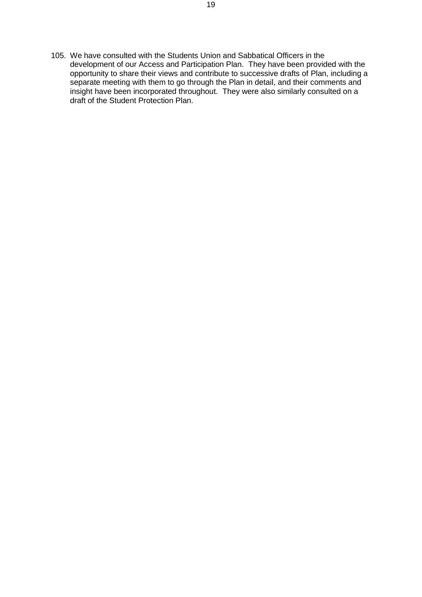105. We have consulted with the Students Union and Sabbatical Officers in the development of our Access and Participation Plan. They have been provided with the opportunity to share their views and contribute to successive drafts of Plan, including a separate meeting with them to go through the Plan in detail, and their comments and insight have been incorporated throughout. They were also similarly consulted on a draft of the Student Protection Plan.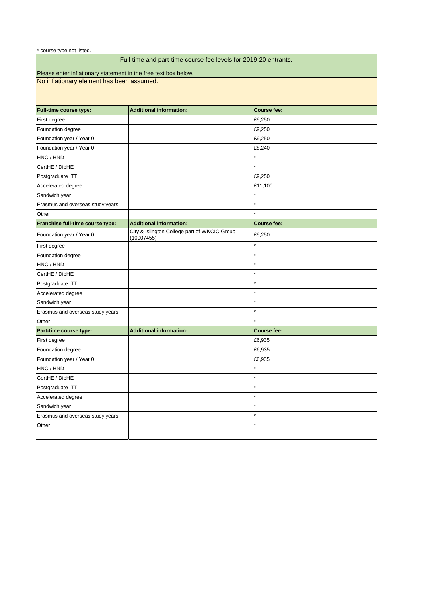| <b>Full-time course type:</b>    | <b>Additional information:</b>                             | <b>Course fee:</b> |
|----------------------------------|------------------------------------------------------------|--------------------|
| First degree                     |                                                            | £9,250             |
| Foundation degree                |                                                            | £9,250             |
| Foundation year / Year 0         |                                                            | £9,250             |
| Foundation year / Year 0         |                                                            | £8,240             |
| HNC / HND                        |                                                            |                    |
| CertHE / DipHE                   |                                                            |                    |
| Postgraduate ITT                 |                                                            | £9,250             |
| Accelerated degree               |                                                            | £11,100            |
| Sandwich year                    |                                                            |                    |
| Erasmus and overseas study years |                                                            |                    |
| Other                            |                                                            |                    |
| Franchise full-time course type: | <b>Additional information:</b>                             | <b>Course fee:</b> |
| Foundation year / Year 0         | City & Islington College part of WKCIC Group<br>(10007455) | £9,250             |
| First degree                     |                                                            |                    |
| Foundation degree                |                                                            |                    |
| HNC / HND                        |                                                            |                    |
| CertHE / DipHE                   |                                                            | $\star$            |
| Postgraduate ITT                 |                                                            | $\star$            |
| Accelerated degree               |                                                            | $\star$            |
| Sandwich year                    |                                                            |                    |
| Erasmus and overseas study years |                                                            |                    |
| Other                            |                                                            |                    |
| Part-time course type:           | <b>Additional information:</b>                             | <b>Course fee:</b> |
| First degree                     |                                                            | £6,935             |
| Foundation degree                |                                                            | £6,935             |
| Foundation year / Year 0         |                                                            | £6,935             |
| HNC / HND                        |                                                            |                    |
| CertHE / DipHE                   |                                                            |                    |
| Postgraduate ITT                 |                                                            | $\star$            |
| Accelerated degree               |                                                            |                    |
| Sandwich year                    |                                                            | $\star$            |
| Erasmus and overseas study years |                                                            |                    |
| Other                            |                                                            |                    |
|                                  |                                                            |                    |

# Full-time and part-time course fee levels for 2019-20 entrants.

Please enter inflationary statement in the free text box below.

No inflationary element has been assumed.

\* course type not listed.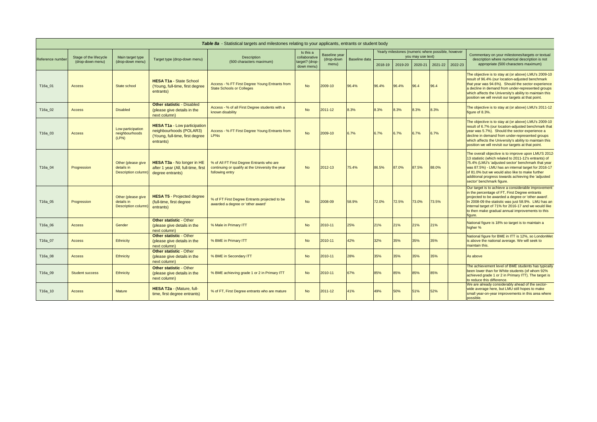| Table 8a - Statistical targets and milestones relating to your applicants, entrants or student body |                                            |                                                         |                                                                                                                |                                                                                                                  |                                                            |                                             |               |                                                                         |         |         |         |         |                                                                                                                                                                                                                                                                                                                                                                   |
|-----------------------------------------------------------------------------------------------------|--------------------------------------------|---------------------------------------------------------|----------------------------------------------------------------------------------------------------------------|------------------------------------------------------------------------------------------------------------------|------------------------------------------------------------|---------------------------------------------|---------------|-------------------------------------------------------------------------|---------|---------|---------|---------|-------------------------------------------------------------------------------------------------------------------------------------------------------------------------------------------------------------------------------------------------------------------------------------------------------------------------------------------------------------------|
| Reference number                                                                                    | Stage of the lifecycle<br>(drop-down menu) | Main target type<br>(drop-down menu)                    | Target type (drop-down menu)                                                                                   | <b>Description</b><br>(500 characters maximum)                                                                   | Is this a<br>collaborative<br>target? (drop-<br>down menu) | <b>Baseline year</b><br>(drop-down<br>menu) | Baseline data | Yearly milestones (numeric where possible, however<br>you may use text) |         |         |         |         | Commentary on your milestones/targets or textual                                                                                                                                                                                                                                                                                                                  |
|                                                                                                     |                                            |                                                         |                                                                                                                |                                                                                                                  |                                                            |                                             |               | 2018-19                                                                 | 2019-20 | 2020-21 | 2021-22 | 2022-23 | description where numerical description is not<br>appropriate (500 characters maximum)                                                                                                                                                                                                                                                                            |
| T16a_01                                                                                             | <b>Access</b>                              | State school                                            | <b>HESA T1a - State School</b><br>(Young, full-time, first degree<br>entrants)                                 | Access - % FT First Degree Young Entrants from<br><b>State Schools or Colleges</b>                               | <b>No</b>                                                  | 2009-10                                     | 96.4%         | 96.4%                                                                   | 96.4%   | 96.4    | 96.4    |         | The objective is to stay at (or above) LMU's 2009-10<br>result of 96.4% (our location-adjusted benchmark<br>that year was 94.6%). Should the sector experience<br>a decline in demand from under-represented groups<br>which affects the University's ability to maintain this<br>position we will revisit our targets at that point.                             |
| T16a_02                                                                                             | <b>Access</b>                              | <b>Disabled</b>                                         | <b>Other statistic - Disabled</b><br>(please give details in the<br>next column)                               | Access - % of all First Degree students with a<br>known disability                                               | <b>No</b>                                                  | 2011-12                                     | 8.3%          | 8.3%                                                                    | 8.3%    | 8.3%    | 8.3%    |         | The objective is to stay at (or above) LMU's 2011-12<br>figure of 8.3%.                                                                                                                                                                                                                                                                                           |
| T16a_03                                                                                             | Access                                     | Low participation<br>neighbourhoods<br>(LPN)            | <b>HESA T1a - Low participation</b><br>neighbourhoods (POLAR3)<br>(Young, full-time, first degree<br>entrants) | Access - % FT First Degree Young Entrants from<br><b>LPN<sub>s</sub></b>                                         | <b>No</b>                                                  | 2009-10                                     | 6.7%          | 6.7%                                                                    | 6.7%    | 6.7%    | 6.7%    |         | The objective is to stay at (or above) LMU's 2009-10<br>result of 6.7% (our location-adjusted benchmark that<br>year was 5.7%). Should the sector experience a<br>decline in demand from under-represented groups<br>which affects the University's ability to maintain this<br>position we will revisit our targets at that point.                               |
| T16a_04                                                                                             | Progression                                | Other (please give<br>details in<br>Description column) | <b>HESA T3a - No longer in HE</b><br>after 1 year (All, full-time, first<br>degree entrants)                   | % of All FT First Degree Entrants who are<br>continuing or qualify at the University the year<br>following entry | <b>No</b>                                                  | 2012-13                                     | 75.4%         | 86.5%                                                                   | 87.0%   | 87.5%   | 88.0%   |         | The overall objective is to improve upon LMU'S 2012-<br>13 statistic (which related to 2011-12's entrants) of<br>75.4% (LMU's 'adjusted sector' benchmark that year<br>was 87.5%) - LMU has an internal target for 2016-17<br>of 81.0% but we would also like to make further<br>additional progress towards achieving the 'adjusted<br>sector' benchmark figure. |
| T16a_05                                                                                             | Progression                                | Other (please give<br>details in<br>Description column) | <b>HESA T5 - Projected degree</b><br>(full-time, first degree<br>entrants)                                     | % of FT First Degree Entrants projected to be<br>awarded a degree or 'other award'                               | No                                                         | 2008-09                                     | 58.9%         | 72.0%                                                                   | 72.5%   | 73.0%   | 73.5%   |         | Our target is to achieve a considerable improvement<br>in the percentage of FT, First Degree entrants<br>projected to be awarded a degree or 'other award'.<br>In 2008-09 the statistic was just 58.9%. LMU has an<br>internal target of 71% for 2016-17 and we would like<br>to then make gradual annual improvements to this<br>figure.                         |
| T16a_06                                                                                             | <b>Access</b>                              | Gender                                                  | <b>Other statistic - Other</b><br>(please give details in the<br>next column)                                  | % Male in Primary ITT                                                                                            | <b>No</b>                                                  | 2010-11                                     | 25%           | 21%                                                                     | 21%     | 21%     | 21%     |         | National figure is 18% so target is to maintain a<br>higher %                                                                                                                                                                                                                                                                                                     |
| T16a_07                                                                                             | <b>Access</b>                              | <b>Ethnicity</b>                                        | <b>Other statistic - Other</b><br>(please give details in the<br>next column)                                  | % BME in Primary ITT                                                                                             | <b>No</b>                                                  | 2010-11                                     | 42%           | 32%                                                                     | 35%     | 35%     | 35%     |         | National figure for BME in ITT is 12%, so LondonMet<br>is above the national average. We will seek to<br>maintain this.                                                                                                                                                                                                                                           |
| T16a_08                                                                                             | <b>Access</b>                              | <b>Ethnicity</b>                                        | <b>Other statistic - Other</b><br>(please give details in the<br>next column)                                  | % BME in Secondary ITT                                                                                           | <b>No</b>                                                  | 2010-11                                     | 28%           | 35%                                                                     | 35%     | 35%     | 35%     |         | As above                                                                                                                                                                                                                                                                                                                                                          |
| T16a_09                                                                                             | <b>Student success</b>                     | <b>Ethnicity</b>                                        | <b>Other statistic - Other</b><br>(please give details in the<br>next column)                                  | % BME achieving grade 1 or 2 in Primary ITT                                                                      | <b>No</b>                                                  | 2010-11                                     | 67%           | 85%                                                                     | 85%     | 85%     | 85%     |         | The achievement level of BME students has typically<br>been lower than for White students (of whom 92%<br>achieved grade 1 or 2 in Primary ITT). The target is<br>to reduce this difference.                                                                                                                                                                      |
| T16a_10                                                                                             | <b>Access</b>                              | <b>Mature</b>                                           | HESA T2a - (Mature, full-<br>time, first degree entrants)                                                      | % of FT, First Degree entrants who are mature                                                                    | <b>No</b>                                                  | 2011-12                                     | 41%           | 49%                                                                     | 50%     | 51%     | 52%     |         | We are already considerably ahead of the sector-<br>wide average here, but LMU still hopes to make<br>small year-on-year improvements in this area where<br>possible.                                                                                                                                                                                             |